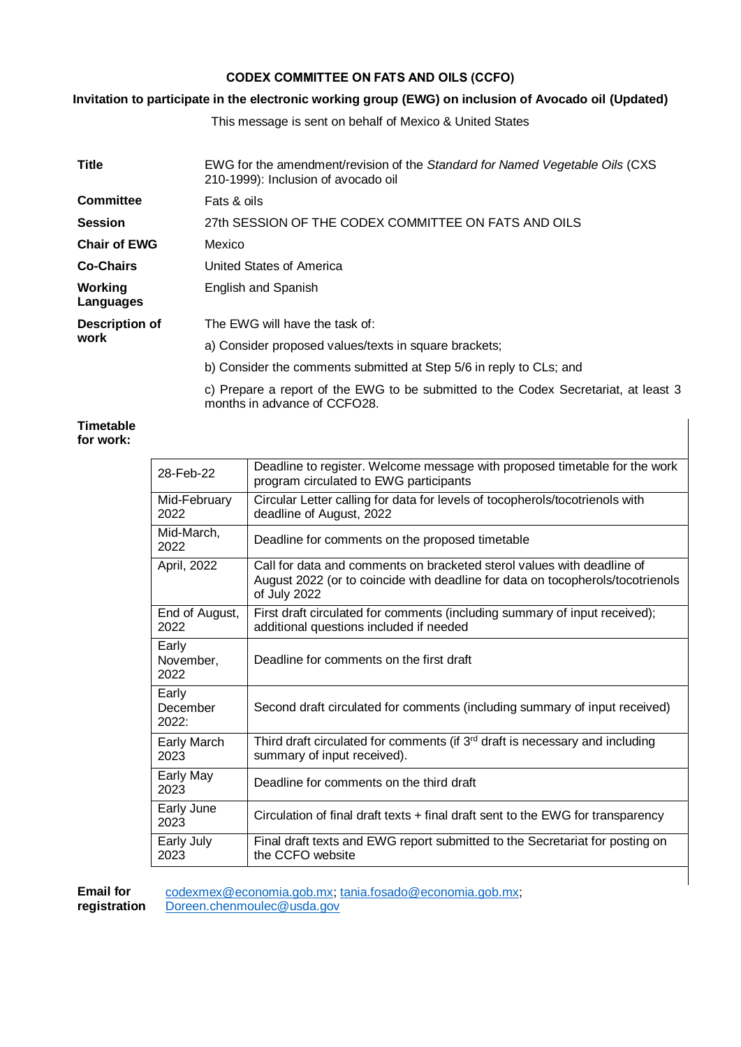# **CODEX COMMITTEE ON FATS AND OILS (CCFO)**

# **Invitation to participate in the electronic working group (EWG) on inclusion of Avocado oil (Updated)**

This message is sent on behalf of Mexico & United States

| <b>Title</b>           | EWG for the amendment/revision of the Standard for Named Vegetable Oils (CXS)<br>210-1999): Inclusion of avocado oil |
|------------------------|----------------------------------------------------------------------------------------------------------------------|
| Committee              | Fats & oils                                                                                                          |
| <b>Session</b>         | 27th SESSION OF THE CODEX COMMITTEE ON FATS AND OILS                                                                 |
| <b>Chair of EWG</b>    | Mexico                                                                                                               |
| <b>Co-Chairs</b>       | United States of America                                                                                             |
| Working<br>Languages   | English and Spanish                                                                                                  |
| Description of<br>work | The EWG will have the task of:                                                                                       |
|                        | a) Consider proposed values/texts in square brackets;                                                                |
|                        | b) Consider the comments submitted at Step 5/6 in reply to CLs; and                                                  |
|                        | c) Prepare a report of the EWG to be submitted to the Codex Secretariat, at least 3<br>months in advance of CCFO28.  |

## **Timetable for work:**

| 28-Feb-22                  | Deadline to register. Welcome message with proposed timetable for the work<br>program circulated to EWG participants                                                     |
|----------------------------|--------------------------------------------------------------------------------------------------------------------------------------------------------------------------|
| Mid-February<br>2022       | Circular Letter calling for data for levels of tocopherols/tocotrienols with<br>deadline of August, 2022                                                                 |
| Mid-March,<br>2022         | Deadline for comments on the proposed timetable                                                                                                                          |
| April, 2022                | Call for data and comments on bracketed sterol values with deadline of<br>August 2022 (or to coincide with deadline for data on tocopherols/tocotrienols<br>of July 2022 |
| End of August,<br>2022     | First draft circulated for comments (including summary of input received);<br>additional questions included if needed                                                    |
| Early<br>November,<br>2022 | Deadline for comments on the first draft                                                                                                                                 |
| Early<br>December<br>2022: | Second draft circulated for comments (including summary of input received)                                                                                               |
| <b>Early March</b><br>2023 | Third draft circulated for comments (if 3 <sup>rd</sup> draft is necessary and including<br>summary of input received).                                                  |
| Early May<br>2023          | Deadline for comments on the third draft                                                                                                                                 |
| Early June<br>2023         | Circulation of final draft texts + final draft sent to the EWG for transparency                                                                                          |
| Early July<br>2023         | Final draft texts and EWG report submitted to the Secretariat for posting on<br>the CCFO website                                                                         |

 $\overline{\phantom{a}}$ 

**Email for registration**  [codexmex@economia.gob.mx;](mailto:codexmex@economia.gob.mx) [tania.fosado@economia.gob.mx;](mailto:tania.fosado@economia.gob.mx) [Doreen.chenmoulec@usda.gov](mailto:Doreen.chenmoulec@usda.gov)